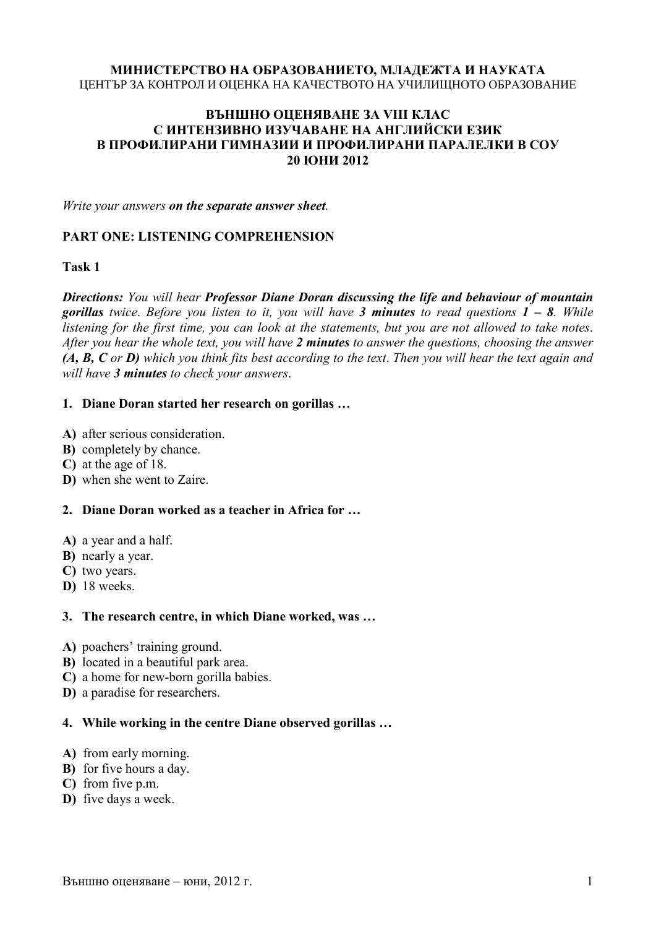# **МИНИСТЕРСТВО НА ОБРАЗОВАНИЕТО, МЛАДЕЖТА И НАУКАТА**

## ЦЕНТЪР ЗА КОНТРОЛ И ОЦЕНКА НА КАЧЕСТВОТО НА УЧИЛИЩНОТО ОБРАЗОВАНИЕ

## **ВЪНШНО ОЦЕНЯВАНЕ ЗА VIII КЛАС С ИНТЕНЗИВНО ИЗУЧАВАНЕ НА АНГЛИЙСКИ ЕЗИК В ПРОФИЛИРАНИ ГИМНАЗИИ И ПРОФИЛИРАНИ ПАРАЛЕЛКИ В СОУ 20 ЮНИ 2012**

*Write your answers on the separate answer sheet.* 

# **PART ONE: LISTENING COMPREHENSION**

**Task 1** 

*Directions: You will hear Professor Diane Doran discussing the life and behaviour of mountain gorillas twice*. *Before you listen to it, you will have 3 minutes to read questions 1 – 8. While listening for the first time, you can look at the statements, but you are not allowed to take notes*. *After you hear the whole text, you will have 2 minutes to answer the questions, choosing the answer (A, B, C or D) which you think fits best according to the text*. *Then you will hear the text again and will have 3 minutes to check your answers*.

## **1. Diane Doran started her research on gorillas …**

- **A)** after serious consideration.
- **B)** completely by chance.
- **C)** at the age of 18.
- **D)** when she went to Zaire.

## **2. Diane Doran worked as a teacher in Africa for …**

- **A)** a year and a half.
- **B)** nearly a year.
- **C)** two years.
- **D)** 18 weeks.

#### **3. The research centre, in which Diane worked, was …**

- **A)** poachers' training ground.
- **B)** located in a beautiful park area.
- **C)** a home for new-born gorilla babies.
- **D)** a paradise for researchers.

## **4. While working in the centre Diane observed gorillas …**

- **A)** from early morning.
- **B)** for five hours a day.
- **C)** from five p.m.
- **D)** five days a week.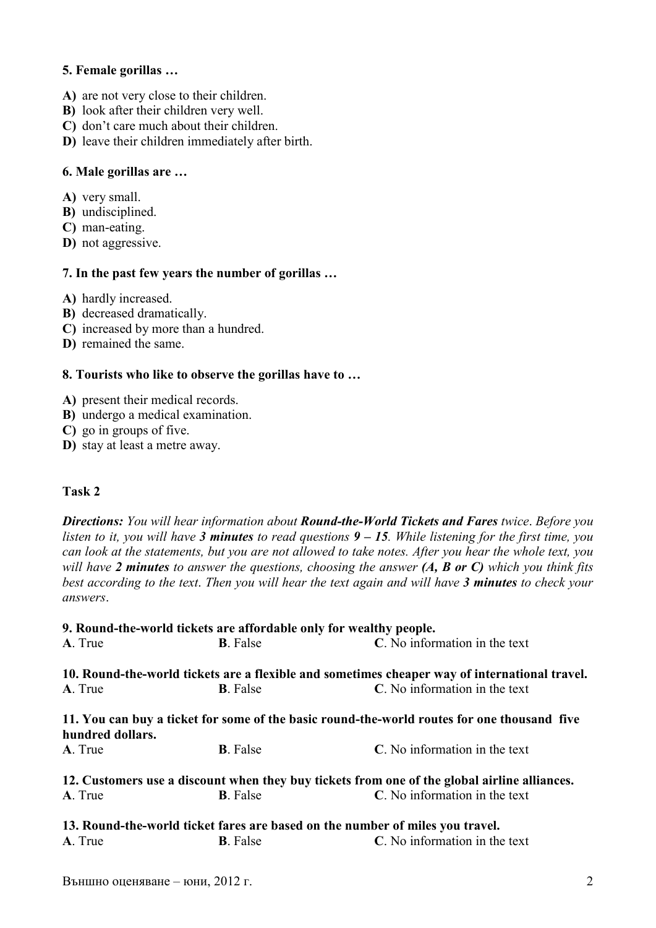## **5. Female gorillas …**

- **A)** are not very close to their children.
- **B)** look after their children very well.
- **C)** don't care much about their children.
- **D)** leave their children immediately after birth.

## **6. Male gorillas are …**

- **A)** very small.
- **B)** undisciplined.
- **C)** man-eating.
- **D)** not aggressive.

## **7. In the past few years the number of gorillas …**

**A)** hardly increased.

- **B)** decreased dramatically.
- **C)** increased by more than a hundred.
- **D)** remained the same.

## **8. Tourists who like to observe the gorillas have to …**

- **A)** present their medical records.
- **B)** undergo a medical examination.
- **C)** go in groups of five.
- **D)** stay at least a metre away.

## **Task 2**

*Directions: You will hear information about Round-the-World Tickets and Fares twice*. *Before you listen to it, you will have 3 minutes to read questions 9 – 15. While listening for the first time, you can look at the statements, but you are not allowed to take notes. After you hear the whole text, you will have 2 minutes to answer the questions, choosing the answer (A, B or C) which you think fits best according to the text*. *Then you will hear the text again and will have 3 minutes to check your answers*.

|                  | 9. Round-the-world tickets are affordable only for wealthy people. |                                                                                               |  |  |
|------------------|--------------------------------------------------------------------|-----------------------------------------------------------------------------------------------|--|--|
| A. True          | <b>B</b> . False                                                   | C. No information in the text                                                                 |  |  |
|                  |                                                                    | 10. Round-the-world tickets are a flexible and sometimes cheaper way of international travel. |  |  |
| A. True          | <b>B</b> . False                                                   | C. No information in the text                                                                 |  |  |
| hundred dollars. |                                                                    | 11. You can buy a ticket for some of the basic round-the-world routes for one thousand five   |  |  |
| A. True          | <b>B</b> . False                                                   | C. No information in the text                                                                 |  |  |
|                  |                                                                    | 12. Customers use a discount when they buy tickets from one of the global airline alliances.  |  |  |
| A. True          | <b>B</b> . False                                                   | C. No information in the text                                                                 |  |  |
|                  |                                                                    | 13. Round-the-world ticket fares are based on the number of miles you travel.                 |  |  |
| A. True          | <b>B</b> . False                                                   | C. No information in the text                                                                 |  |  |
|                  |                                                                    |                                                                                               |  |  |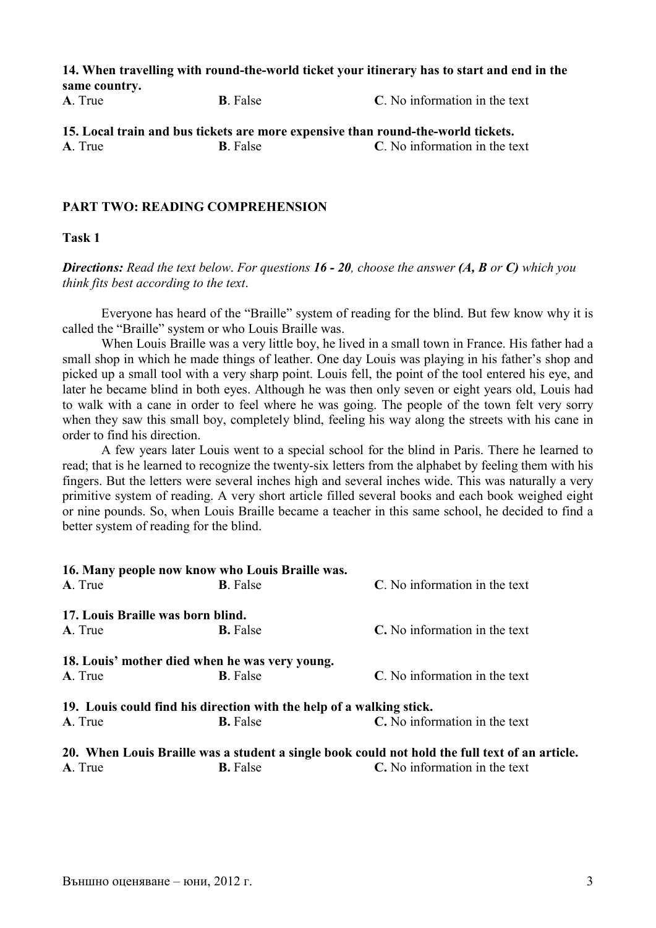**14. When travelling with round-the-world ticket your itinerary has to start and end in the same country.** 

**A**. True **B**. False **C**. No information in the text

**15. Local train and bus tickets are more expensive than round-the-world tickets. A**. True **B**. False **C**. No information in the text

## **PART TWO: READING COMPREHENSION**

**Task 1** 

*Directions: Read the text below*. *For questions 16 - 20, choose the answer (A, B or C) which you think fits best according to the text*.

Everyone has heard of the "Braille" system of reading for the blind. But few know why it is called the "Braille" system or who Louis Braille was.

When Louis Braille was a very little boy, he lived in a small town in France. His father had a small shop in which he made things of leather. One day Louis was playing in his father's shop and picked up a small tool with a very sharp point. Louis fell, the point of the tool entered his eye, and later he became blind in both eyes. Although he was then only seven or eight years old, Louis had to walk with a cane in order to feel where he was going. The people of the town felt very sorry when they saw this small boy, completely blind, feeling his way along the streets with his cane in order to find his direction.

A few years later Louis went to a special school for the blind in Paris. There he learned to read; that is he learned to recognize the twenty-six letters from the alphabet by feeling them with his fingers. But the letters were several inches high and several inches wide. This was naturally a very primitive system of reading. A very short article filled several books and each book weighed eight or nine pounds. So, when Louis Braille became a teacher in this same school, he decided to find a better system of reading for the blind.

|                                   | 16. Many people now know who Louis Braille was.                      |                                                                                                |  |  |  |
|-----------------------------------|----------------------------------------------------------------------|------------------------------------------------------------------------------------------------|--|--|--|
| A. True                           | <b>B</b> . False                                                     | C. No information in the text                                                                  |  |  |  |
| 17. Louis Braille was born blind. |                                                                      |                                                                                                |  |  |  |
| A. True                           | <b>B.</b> False                                                      | C. No information in the text                                                                  |  |  |  |
|                                   | 18. Louis' mother died when he was very young.                       |                                                                                                |  |  |  |
| A. True                           | <b>B</b> . False                                                     | C. No information in the text                                                                  |  |  |  |
|                                   | 19. Louis could find his direction with the help of a walking stick. |                                                                                                |  |  |  |
| A. True                           | <b>B.</b> False                                                      | C. No information in the text                                                                  |  |  |  |
|                                   |                                                                      | 20. When Louis Braille was a student a single book could not hold the full text of an article. |  |  |  |
| A. True                           | <b>B.</b> False                                                      | C. No information in the text                                                                  |  |  |  |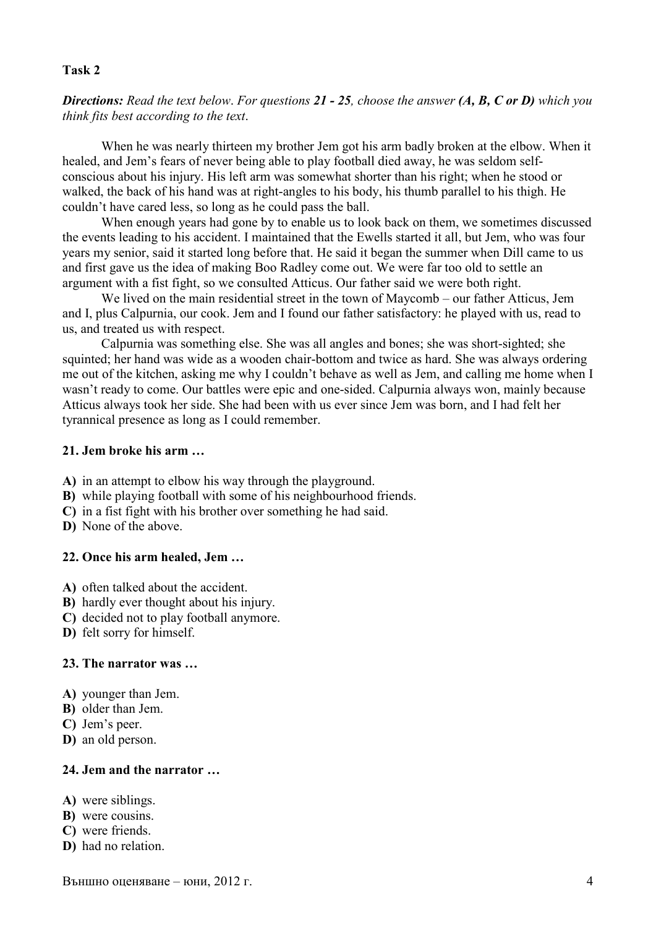#### **Task 2**

*Directions: Read the text below*. *For questions 21 - 25, choose the answer (A, B, C or D) which you think fits best according to the text*.

When he was nearly thirteen my brother Jem got his arm badly broken at the elbow. When it healed, and Jem's fears of never being able to play football died away, he was seldom selfconscious about his injury. His left arm was somewhat shorter than his right; when he stood or walked, the back of his hand was at right-angles to his body, his thumb parallel to his thigh. He couldn't have cared less, so long as he could pass the ball.

When enough years had gone by to enable us to look back on them, we sometimes discussed the events leading to his accident. I maintained that the Ewells started it all, but Jem, who was four years my senior, said it started long before that. He said it began the summer when Dill came to us and first gave us the idea of making Boo Radley come out. We were far too old to settle an argument with a fist fight, so we consulted Atticus. Our father said we were both right.

We lived on the main residential street in the town of Maycomb – our father Atticus, Jem and I, plus Calpurnia, our cook. Jem and I found our father satisfactory: he played with us, read to us, and treated us with respect.

Calpurnia was something else. She was all angles and bones; she was short-sighted; she squinted; her hand was wide as a wooden chair-bottom and twice as hard. She was always ordering me out of the kitchen, asking me why I couldn't behave as well as Jem, and calling me home when I wasn't ready to come. Our battles were epic and one-sided. Calpurnia always won, mainly because Atticus always took her side. She had been with us ever since Jem was born, and I had felt her tyrannical presence as long as I could remember.

## **21. Jem broke his arm …**

- **A)** in an attempt to elbow his way through the playground.
- **B)** while playing football with some of his neighbourhood friends.
- **C)** in a fist fight with his brother over something he had said.
- **D)** None of the above.

#### **22. Once his arm healed, Jem …**

- **A)** often talked about the accident.
- **B)** hardly ever thought about his injury.
- **C)** decided not to play football anymore.
- **D)** felt sorry for himself.

#### **23. The narrator was …**

- **A)** younger than Jem.
- **B)** older than Jem.
- **C)** Jem's peer.
- **D)** an old person.

#### **24. Jem and the narrator …**

- **A)** were siblings.
- **B)** were cousins.
- **C)** were friends.
- **D)** had no relation.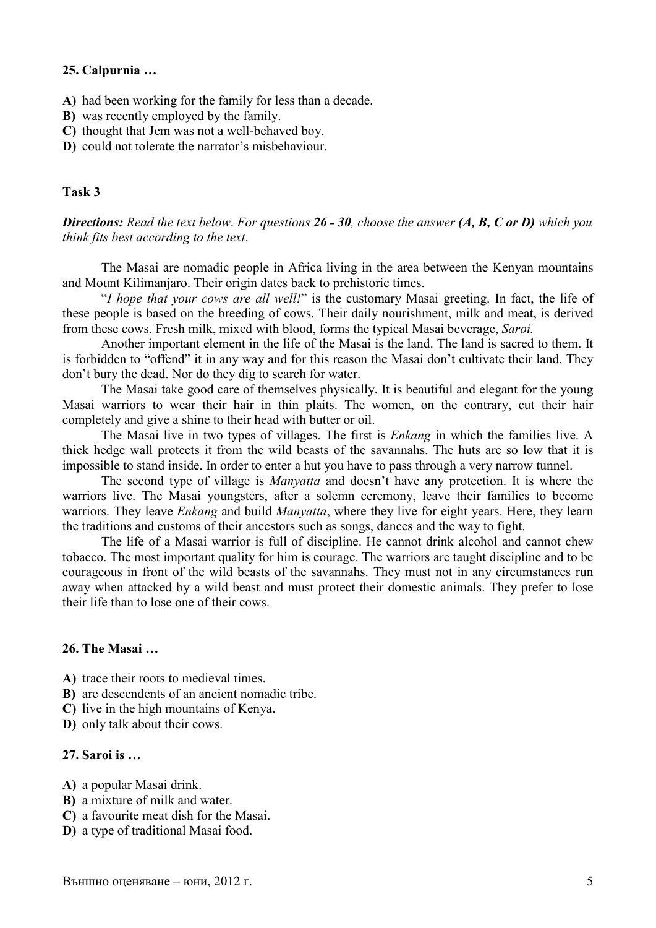#### **25. Calpurnia …**

- **A)** had been working for the family for less than a decade.
- **B)** was recently employed by the family.
- **C)** thought that Jem was not a well-behaved boy.
- **D)** could not tolerate the narrator's misbehaviour.

#### **Task 3**

*Directions: Read the text below*. *For questions 26 - 30, choose the answer (A, B, C or D) which you think fits best according to the text*.

The Masai are nomadic people in Africa living in the area between the Kenyan mountains and Mount Kilimanjaro. Their origin dates back to prehistoric times.

"*I hope that your cows are all well!*" is the customary Masai greeting. In fact, the life of these people is based on the breeding of cows. Their daily nourishment, milk and meat, is derived from these cows. Fresh milk, mixed with blood, forms the typical Masai beverage, *Saroi.*

Another important element in the life of the Masai is the land. The land is sacred to them. It is forbidden to "offend" it in any way and for this reason the Masai don't cultivate their land. They don't bury the dead. Nor do they dig to search for water.

The Masai take good care of themselves physically. It is beautiful and elegant for the young Masai warriors to wear their hair in thin plaits. The women, on the contrary, cut their hair completely and give a shine to their head with butter or oil.

The Masai live in two types of villages. The first is *Enkang* in which the families live. A thick hedge wall protects it from the wild beasts of the savannahs. The huts are so low that it is impossible to stand inside. In order to enter a hut you have to pass through a very narrow tunnel.

The second type of village is *Manyatta* and doesn't have any protection. It is where the warriors live. The Masai youngsters, after a solemn ceremony, leave their families to become warriors. They leave *Enkang* and build *Manyatta*, where they live for eight years. Here, they learn the traditions and customs of their ancestors such as songs, dances and the way to fight.

The life of a Masai warrior is full of discipline. He cannot drink alcohol and cannot chew tobacco. The most important quality for him is courage. The warriors are taught discipline and to be courageous in front of the wild beasts of the savannahs. They must not in any circumstances run away when attacked by a wild beast and must protect their domestic animals. They prefer to lose their life than to lose one of their cows.

## **26. The Masai …**

**A)** trace their roots to medieval times.

**B)** are descendents of an ancient nomadic tribe.

**C)** live in the high mountains of Kenya.

**D)** only talk about their cows.

### **27. Saroi is …**

- **A)** a popular Masai drink.
- **B)** a mixture of milk and water.
- **C)** a favourite meat dish for the Masai.
- **D)** a type of traditional Masai food.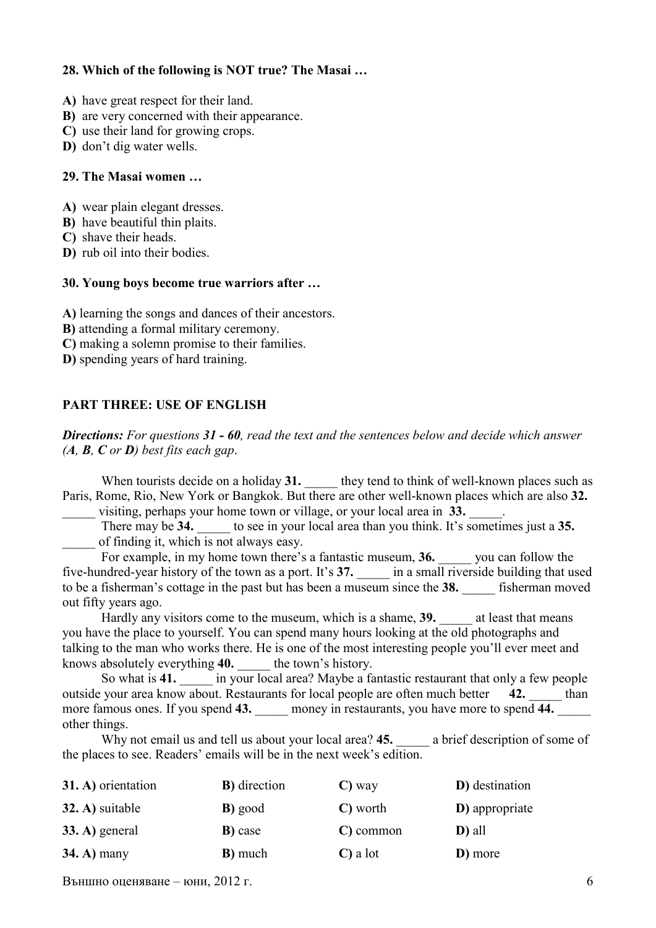## **28. Which of the following is NOT true? The Masai …**

- **A)** have great respect for their land.
- **B)** are very concerned with their appearance.
- **C)** use their land for growing crops.
- **D)** don't dig water wells.

#### **29. The Masai women …**

- **A)** wear plain elegant dresses.
- **B)** have beautiful thin plaits.
- **C)** shave their heads.
- **D)** rub oil into their bodies.

#### **30. Young boys become true warriors after …**

**A)** learning the songs and dances of their ancestors.

- **B)** attending a formal military ceremony.
- **C)** making a solemn promise to their families.
- **D)** spending years of hard training.

## **PART THREE: USE OF ENGLISH**

*Directions: For questions 31 - 60, read the text and the sentences below and decide which answer (A, B, C or D) best fits each gap*.

When tourists decide on a holiday 31. **Let us a** they tend to think of well-known places such as Paris, Rome, Rio, New York or Bangkok. But there are other well-known places which are also **32.** 

visiting, perhaps your home town or village, or your local area in 33.

There may be **34.** \_\_\_\_\_ to see in your local area than you think. It's sometimes just a **35.**  \_\_\_\_\_ of finding it, which is not always easy.

For example, in my home town there's a fantastic museum, **36.** you can follow the five-hundred-year history of the town as a port. It's 37. **a** in a small riverside building that used to be a fisherman's cottage in the past but has been a museum since the 38. **\_\_\_\_** fisherman moved out fifty years ago.

Hardly any visitors come to the museum, which is a shame, **39.** \_\_\_\_\_ at least that means you have the place to yourself. You can spend many hours looking at the old photographs and talking to the man who works there. He is one of the most interesting people you'll ever meet and knows absolutely everything **40.** \_\_\_\_\_ the town's history.

So what is 41. **a** in your local area? Maybe a fantastic restaurant that only a few people outside your area know about. Restaurants for local people are often much better **42.** than more famous ones. If you spend 43. **\_\_\_\_** money in restaurants, you have more to spend 44. other things.

Why not email us and tell us about your local area? 45. **a** brief description of some of the places to see. Readers' emails will be in the next week's edition.

| 31. A) orientation | <b>B</b> ) direction | $\mathbf{C}$ ) way  | D) destination |
|--------------------|----------------------|---------------------|----------------|
| 32. A) suitable    | <b>B</b> ) good      | C) worth            | D) appropriate |
| $33. A)$ general   | <b>B</b> ) case      | C) common           | D) all         |
| $34. A)$ many      | <b>B</b> ) much      | $\mathbf C$ ) a lot | D) more        |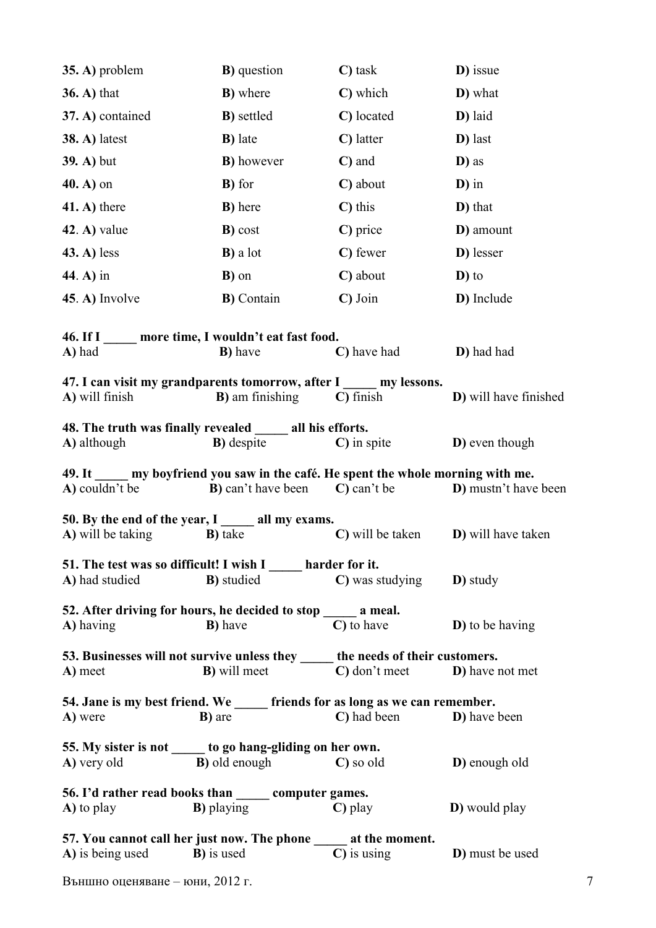| 35. A) problem       | <b>B</b> ) question                                                                                                                                    |                                          | D) issue                     |  |
|----------------------|--------------------------------------------------------------------------------------------------------------------------------------------------------|------------------------------------------|------------------------------|--|
| $36. A)$ that        | <b>B</b> ) where                                                                                                                                       | C) which                                 | D) what                      |  |
| 37. A) contained     | <b>B</b> ) settled                                                                                                                                     | C) located                               | D) laid                      |  |
| <b>38. A)</b> latest | <b>B</b> ) late                                                                                                                                        | C) latter                                | D) last                      |  |
| <b>39. A)</b> but    | <b>B</b> ) however                                                                                                                                     | C) and                                   | D) as                        |  |
| $40. A$ ) on         | <b>B</b> ) for                                                                                                                                         |                                          | $\mathbf{D}$ ) in            |  |
| $(41. A)$ there      | <b>B</b> ) here                                                                                                                                        | $\mathbf{C}$ ) this                      | D) that                      |  |
| $(42. A)$ value      | <b>B</b> ) cost                                                                                                                                        | C) price                                 | D) amount                    |  |
| $(43. A)$ less       | <b>B</b> ) a lot                                                                                                                                       | C) fewer                                 | D) lesser                    |  |
| 44. A) in            | <b>B</b> ) on                                                                                                                                          | C) about                                 | $\mathbf{D}$ ) to            |  |
| $45. A)$ Involve     | <b>B</b> ) Contain                                                                                                                                     | $\mathbf C$ ) Join                       | D) Include                   |  |
|                      | 46. If I more time, I wouldn't eat fast food.                                                                                                          |                                          |                              |  |
| A) had               | <b>B</b> ) have                                                                                                                                        | C) have had                              | D) had had                   |  |
| A) will finish       | 47. I can visit my grandparents tomorrow, after I my lessons.<br><b>B</b> ) am finishing                                                               | $\mathbf C$ ) finish                     | D) will have finished        |  |
|                      | 48. The truth was finally revealed all his efforts.                                                                                                    |                                          |                              |  |
| A) although          | <b>B</b> ) despite                                                                                                                                     | $\mathbf C$ ) in spite                   | D) even though               |  |
| A) couldn't be       | 49. It my boyfriend you saw in the café. He spent the whole morning with me.<br><b>B</b> ) can't have been                                             | C) can't be                              | <b>D</b> ) mustn't have been |  |
| A) will be taking    | 50. By the end of the year, I all my exams.<br><b>B</b> ) take                                                                                         | C) will be taken                         | <b>D</b> ) will have taken   |  |
|                      | 51. The test was so difficult! I wish I _____ harder for it.                                                                                           |                                          |                              |  |
| A) had studied       | <b>B</b> ) studied                                                                                                                                     | <b>C</b> ) was studying <b>D</b> ) study |                              |  |
| A) having            | 52. After driving for hours, he decided to stop _____ a meal.<br><b>B</b> ) have                                                                       | C) to have                               | <b>D</b> ) to be having      |  |
| A) meet              | 53. Businesses will not survive unless they ______ the needs of their customers.<br><b>B</b> ) will meet <b>C</b> ) don't meet <b>D</b> ) have not met |                                          |                              |  |
| A) were              | 54. Jane is my best friend. We ______ friends for as long as we can remember.<br><b>B</b> ) are                                                        | C) had been <b>D</b> ) have been         |                              |  |
| A) very old          | 55. My sister is not ______ to go hang-gliding on her own.<br><b>B</b> ) old enough C so old                                                           |                                          | D) enough old                |  |
| A) to play           | 56. I'd rather read books than _______ computer games.<br><b>B</b> ) playing                                                                           | $\mathbf C$ ) play                       | <b>D</b> ) would play        |  |
|                      | 57. You cannot call her just now. The phone ______ at the moment.<br>A) is being used B) is used                                                       | $\mathbf C$ ) is using                   | D) must be used              |  |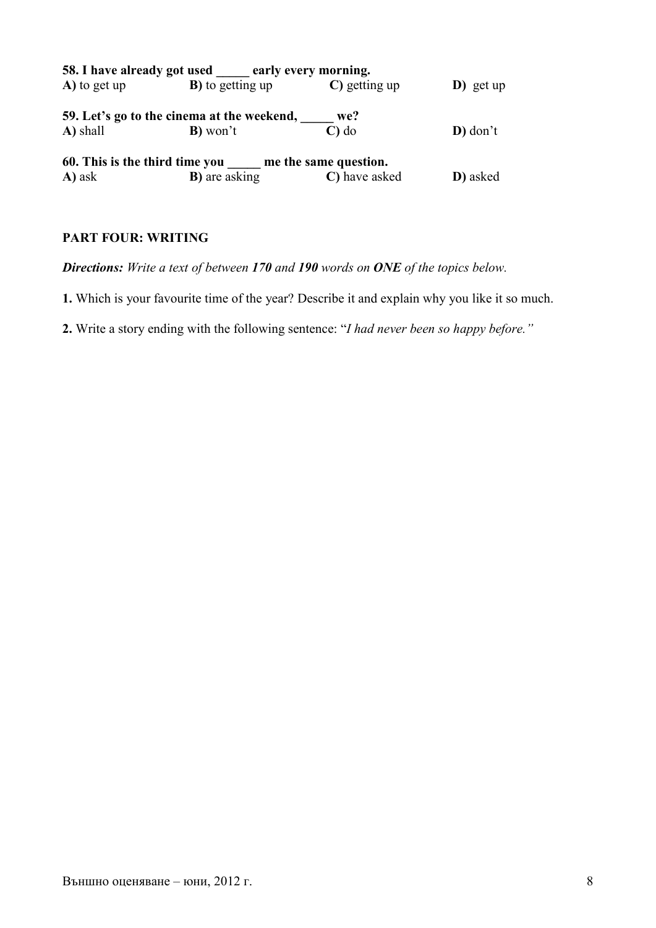|              | 58. I have already got used early every morning.     |                   |                   |
|--------------|------------------------------------------------------|-------------------|-------------------|
| A) to get up | <b>B</b> ) to getting up                             | C) getting up     | $\bf{D}$ ) get up |
|              | 59. Let's go to the cinema at the weekend,           | we?               |                   |
| A) shall     | <b>B</b> ) won't                                     | $\mathbf{C}$ ) do | $\bf{D})$ don't   |
|              | 60. This is the third time you me the same question. |                   |                   |
| A) ask       | <b>B</b> ) are asking                                | C) have asked     | D) asked          |

## **PART FOUR: WRITING**

*Directions: Write a text of between 170 and 190 words on ONE of the topics below.* 

**1.** Which is your favourite time of the year? Describe it and explain why you like it so much.

**2.** Write a story ending with the following sentence: "*I had never been so happy before."*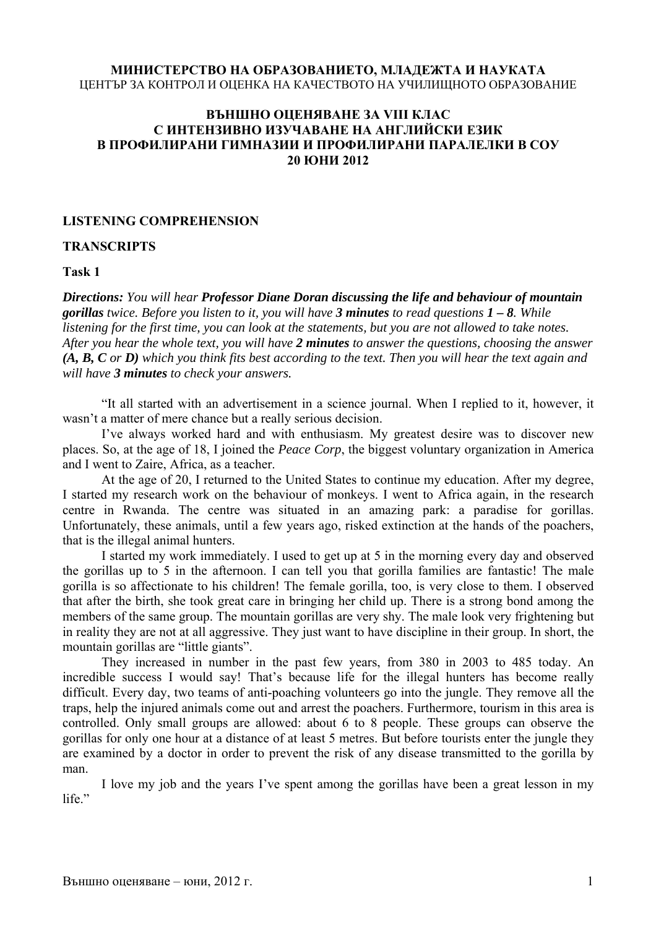#### **МИНИСТЕРСТВО НА ОБРАЗОВАНИЕТО, МЛАДЕЖТА И НАУКАТА** ЦЕНТЪР ЗА КОНТРОЛ И ОЦЕНКА НА КАЧЕСТВОТО НА УЧИЛИЩНОТО ОБРАЗОВАНИЕ

#### **ВЪНШНО ОЦЕНЯВАНЕ ЗА VIII КЛАС С ИНТЕНЗИВНО ИЗУЧАВАНЕ НА АНГЛИЙСКИ ЕЗИК В ПРОФИЛИРАНИ ГИМНАЗИИ И ПРОФИЛИРАНИ ПАРАЛЕЛКИ В СОУ 20 ЮНИ 2012**

#### **LISTENING COMPREHENSION**

#### **TRANSCRIPTS**

**Task 1** 

*Directions: You will hear Professor Diane Doran discussing the life and behaviour of mountain gorillas twice. Before you listen to it, you will have 3 minutes to read questions 1 – 8. While listening for the first time, you can look at the statements, but you are not allowed to take notes. After you hear the whole text, you will have 2 minutes to answer the questions, choosing the answer (A, B, C or D) which you think fits best according to the text. Then you will hear the text again and will have 3 minutes to check your answers.* 

 "It all started with an advertisement in a science journal. When I replied to it, however, it wasn't a matter of mere chance but a really serious decision.

 I've always worked hard and with enthusiasm. My greatest desire was to discover new places. So, at the age of 18, I joined the *Peace Corp*, the biggest voluntary organization in America and I went to Zaire, Africa, as a teacher.

 At the age of 20, I returned to the United States to continue my education. After my degree, I started my research work on the behaviour of monkeys. I went to Africa again, in the research centre in Rwanda. The centre was situated in an amazing park: a paradise for gorillas. Unfortunately, these animals, until a few years ago, risked extinction at the hands of the poachers, that is the illegal animal hunters.

 I started my work immediately. I used to get up at 5 in the morning every day and observed the gorillas up to 5 in the afternoon. I can tell you that gorilla families are fantastic! The male gorilla is so affectionate to his children! The female gorilla, too, is very close to them. I observed that after the birth, she took great care in bringing her child up. There is a strong bond among the members of the same group. The mountain gorillas are very shy. The male look very frightening but in reality they are not at all aggressive. They just want to have discipline in their group. In short, the mountain gorillas are "little giants".

 They increased in number in the past few years, from 380 in 2003 to 485 today. An incredible success I would say! That's because life for the illegal hunters has become really difficult. Every day, two teams of anti-poaching volunteers go into the jungle. They remove all the traps, help the injured animals come out and arrest the poachers. Furthermore, tourism in this area is controlled. Only small groups are allowed: about 6 to 8 people. These groups can observe the gorillas for only one hour at a distance of at least 5 metres. But before tourists enter the jungle they are examined by a doctor in order to prevent the risk of any disease transmitted to the gorilla by man.

 I love my job and the years I've spent among the gorillas have been a great lesson in my life."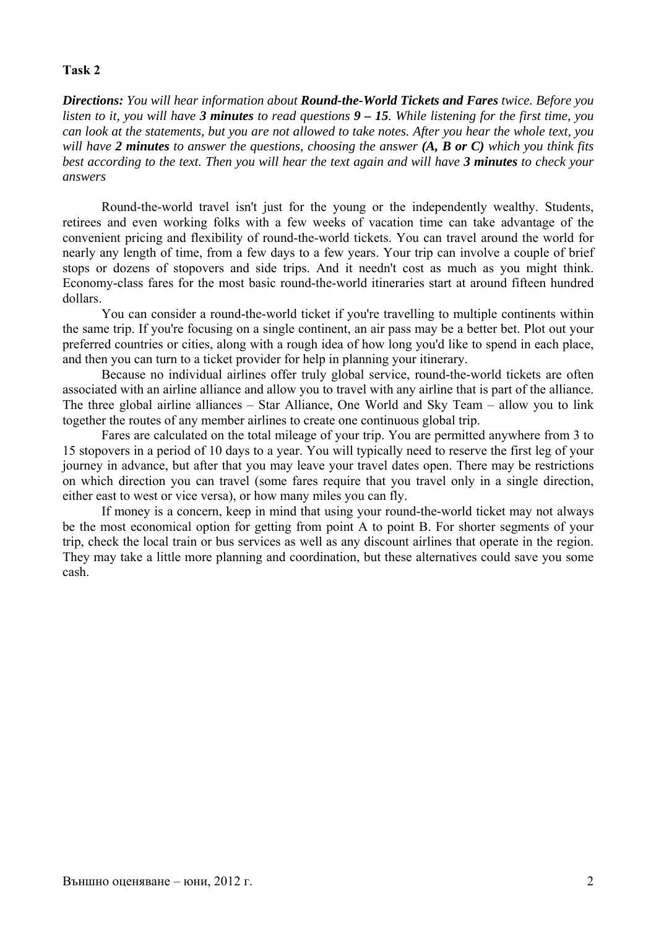#### **Task 2**

*Directions: You will hear information about Round-the-World Tickets and Fares twice. Before you listen to it, you will have 3 minutes to read questions 9 – 15. While listening for the first time, you can look at the statements, but you are not allowed to take notes. After you hear the whole text, you will have 2 minutes to answer the questions, choosing the answer (A, B or C) which you think fits best according to the text. Then you will hear the text again and will have 3 minutes to check your answers* 

Round-the-world travel isn't just for the young or the independently wealthy. Students, retirees and even working folks with a few weeks of vacation time can take advantage of the convenient pricing and flexibility of round-the-world tickets. You can travel around the world for nearly any length of time, from a few days to a few years. Your trip can involve a couple of brief stops or dozens of stopovers and side trips. And it needn't cost as much as you might think. Economy-class fares for the most basic round-the-world itineraries start at around fifteen hundred dollars.

You can consider a round-the-world ticket if you're travelling to multiple continents within the same trip. If you're focusing on a single continent, an air pass may be a better bet. Plot out your preferred countries or cities, along with a rough idea of how long you'd like to spend in each place, and then you can turn to a ticket provider for help in planning your itinerary.

Because no individual airlines offer truly global service, round-the-world tickets are often associated with an airline alliance and allow you to travel with any airline that is part of the alliance. The three global airline alliances – Star Alliance, One World and Sky Team – allow you to link together the routes of any member airlines to create one continuous global trip.

Fares are calculated on the total mileage of your trip. You are permitted anywhere from 3 to 15 stopovers in a period of 10 days to a year. You will typically need to reserve the first leg of your journey in advance, but after that you may leave your travel dates open. There may be restrictions on which direction you can travel (some fares require that you travel only in a single direction, either east to west or vice versa), or how many miles you can fly.

If money is a concern, keep in mind that using your round-the-world ticket may not always be the most economical option for getting from point A to point B. For shorter segments of your trip, check the local train or bus services as well as any discount airlines that operate in the region. They may take a little more planning and coordination, but these alternatives could save you some cash.